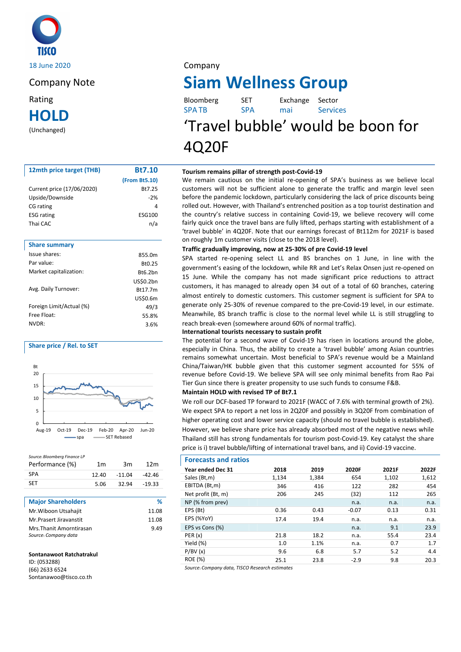

**HOLD**

(Unchanged)

| 12mth price target (THB)   | <b>Bt7.10</b> |
|----------------------------|---------------|
|                            | (From Bt5.10) |
| Current price (17/06/2020) | Bt7.25        |
| Upside/Downside            | $-2%$         |
| CG rating                  | 4             |
| <b>ESG</b> rating          | ESG100        |
| Thai CAC                   | n/a           |
|                            |               |
| <b>Share summary</b>       |               |
| Issue shares:              | 855.0m        |
| Par value:                 | Bt0.25        |
| Market capitalization:     | Bt6.2bn       |

|                          | <b>US\$0.2bn</b> |
|--------------------------|------------------|
| Avg. Daily Turnover:     | Bt17.7m          |
|                          | US\$0.6m         |
| Foreign Limit/Actual (%) | 49/3             |
| Free Float:              | 55.8%            |
| NVDR:                    | 3.6%             |
|                          |                  |

# **Share price / Rel. to SET**





| <b>Major Shareholders</b>                        | ℀     |
|--------------------------------------------------|-------|
| Mr. Wiboon Utsahajit                             | 11.08 |
| Mr.Prasert Jiravanstit                           | 11.08 |
| Mrs. Thanit Amorntirasan<br>Source: Company data | 9.49  |

## **Sontanawoot Ratchatrakul**

ID: (053288) (66) 2633 6524 Sontanawoo@tisco.co.th

# Company Note **Siam Wellness Group**

| Rating | Bloomberg    |            | Exchange Sector |                 |
|--------|--------------|------------|-----------------|-----------------|
| HOLD   | <b>SPATB</b> | <b>SPA</b> | mai             | <b>Services</b> |

# 'Travel bubble' would be boon for 4Q20F

## **Tourism remains pillar of strength post-Covid-19**

We remain cautious on the initial re-opening of SPA's business as we believe local customers will not be sufficient alone to generate the traffic and margin level seen before the pandemic lockdown, particularly considering the lack of price discounts being rolled out. However, with Thailand's entrenched position as a top tourist destination and the country's relative success in containing Covid-19, we believe recovery will come fairly quick once the travel bans are fully lifted, perhaps starting with establishment of a 'travel bubble' in 4Q20F. Note that our earnings forecast of Bt112m for 2021F is based on roughly 1m customer visits (close to the 2018 level).

## **Traffic gradually improving, now at 25-30% of pre Covid-19 level**

SPA started re-opening select LL and BS branches on 1 June, in line with the government's easing of the lockdown, while RR and Let's Relax Onsen just re-opened on 15 June. While the company has not made significant price reductions to attract customers, it has managed to already open 34 out of a total of 60 branches, catering almost entirely to domestic customers. This customer segment is sufficient for SPA to generate only 25-30% of revenue compared to the pre-Covid-19 level, in our estimate. Meanwhile, BS branch traffic is close to the normal level while LL is still struggling to reach break-even (somewhere around 60% of normal traffic).

## **International tourists necessary to sustain profit**

The potential for a second wave of Covid-19 has risen in locations around the globe, especially in China. Thus, the ability to create a 'travel bubble' among Asian countries remains somewhat uncertain. Most beneficial to SPA's revenue would be a Mainland China/Taiwan/HK bubble given that this customer segment accounted for 55% of revenue before Covid-19. We believe SPA will see only minimal benefits from Rao Pai Tier Gun since there is greater propensity to use such funds to consume F&B.

## **Maintain HOLD with revised TP of Bt7.1**

We roll our DCF-based TP forward to 2021F (WACC of 7.6% with terminal growth of 2%). We expect SPA to report a net loss in 2Q20F and possibly in 3Q20F from combination of higher operating cost and lower service capacity (should no travel bubble is established). However, we believe share price has already absorbed most of the negative news while Thailand still has strong fundamentals for tourism post-Covid-19. Key catalyst the share price is i) travel bubble/lifting of international travel bans, and ii) Covid-19 vaccine.

# **Forecasts and ratios**

| Year ended Dec 31  | 2018  | 2019  | 2020F   | 2021F | 2022F |
|--------------------|-------|-------|---------|-------|-------|
| Sales (Bt,m)       | 1,134 | 1,384 | 654     | 1,102 | 1,612 |
| EBITDA (Bt,m)      | 346   | 416   | 122     | 282   | 454   |
| Net profit (Bt, m) | 206   | 245   | (32)    | 112   | 265   |
| NP (% from prev)   |       |       | n.a.    | n.a.  | n.a.  |
| EPS (Bt)           | 0.36  | 0.43  | $-0.07$ | 0.13  | 0.31  |
| EPS (%YoY)         | 17.4  | 19.4  | n.a.    | n.a.  | n.a.  |
| EPS vs Cons (%)    |       |       | n.a.    | 9.1   | 23.9  |
| PER(x)             | 21.8  | 18.2  | n.a.    | 55.4  | 23.4  |
| Yield (%)          | 1.0   | 1.1%  | n.a.    | 0.7   | 1.7   |
| P/BV(x)            | 9.6   | 6.8   | 5.7     | 5.2   | 4.4   |
| <b>ROE</b> (%)     | 25.1  | 23.8  | $-2.9$  | 9.8   | 20.3  |
|                    |       |       |         |       |       |

*Source: Company data, TISCO Research estimates*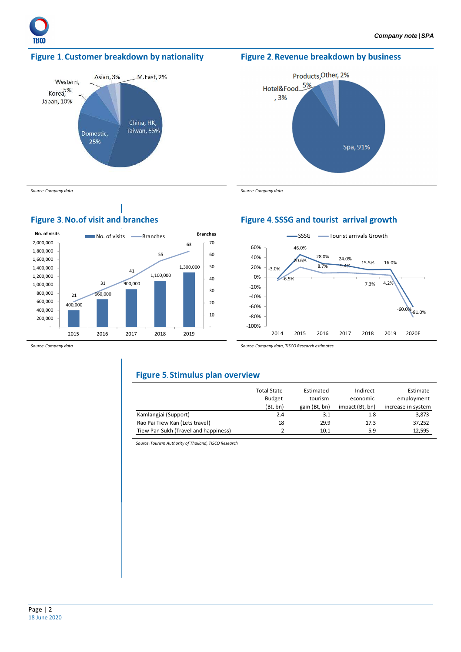

# **Figure 1. Customer breakdown by nationality Figure 2. Revenue breakdown by business**







*Source: Company data Source: Company data* 

# **Figure 3. No.of visit and branches Figure 4. SSSG and tourist arrival growth**



*Source: Company data Source: Company data, TISCO Research estimates* 

# **Figure 5. Stimulus plan overview**

|                                      | <b>Total State</b> | Estimated     | Indirect        | Estimate           |
|--------------------------------------|--------------------|---------------|-----------------|--------------------|
|                                      | <b>Budget</b>      | tourism       | economic        | employment         |
|                                      | (Bt, bn)           | gain (Bt, bn) | impact (Bt, bn) | increase in system |
| Kamlangjai (Support)                 | 2.4                | 3.1           | 1.8             | 3,873              |
| Rao Pai Tiew Kan (Lets travel)       | 18                 | 29.9          | 17.3            | 37,252             |
| Tiew Pan Sukh (Travel and happiness) |                    | 10.1          | 5.9             | 12,595             |

*Source: Tourism Authority of Thailand, TISCO Research*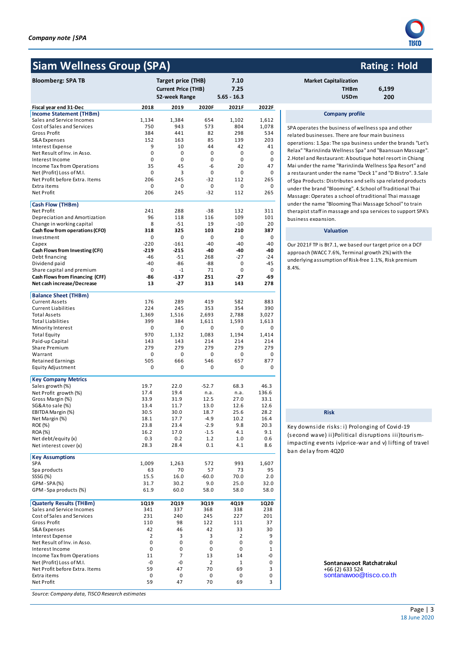# **Siam Wellness Group (SPA) Rating : Hold Rating : Hold**

| <b>Bloomberg: SPA TB</b>                                   |                  | Target price (THB)         |                | 7.10              |             | <b>Market Capitalization</b>                    |
|------------------------------------------------------------|------------------|----------------------------|----------------|-------------------|-------------|-------------------------------------------------|
|                                                            |                  | <b>Current Price (THB)</b> |                | 7.25              |             | 6,199<br><b>THBm</b>                            |
|                                                            |                  | 52-week Range              |                | $5.65 - 16.3$     |             | <b>USDm</b><br>200                              |
| Fiscal year end 31-Dec                                     | 2018             | 2019                       | 2020F          | 2021F             | 2022F       |                                                 |
| Income Statement (THBm)                                    |                  |                            |                |                   |             | <b>Company profile</b>                          |
| Sales and Service Incomes                                  | 1,134            | 1,384                      | 654            | 1,102             | 1,612       |                                                 |
| Cost of Sales and Services                                 | 750              | 943                        | 573            | 804               | 1,078       | SPA operates the business of wellness spa ar    |
| Gross Profit                                               | 384              | 441                        | 82             | 298               | 534         | related businesses. There are four main busi    |
| S&A Expenses                                               | 152              | 163                        | 85             | 139               | 203         | operations: 1.Spa: The spa business under th    |
| Interest Expense                                           | 9                | 10                         | 44             | 42                | 41          | Relax" "RarinJinda Wellness Spa" and "Baans     |
| Net Result of Inv. in Asso.                                | 0<br>$\mathbf 0$ | 0                          | 0              | 0                 | 0           | 2. Hotel and Restaurant: A boutique hotel res   |
| Interest Income                                            | 35               | 0<br>45                    | 0<br>-6        | $\mathbf 0$<br>20 | 0<br>47     | Mai under the name "RarinJinda Wellness Sp      |
| Income Tax from Operations<br>Net (Profit) Loss of M.I.    | 0                | 3                          | 0              | $\mathbf 0$       | 0           | a restaurant under the name "Deck 1" and "D     |
| Net Profit before Extra. Items                             | 206              | 245                        | $-32$          | 112               | 265         | of Spa Products: Distributes and sells spa rela |
| Extra items                                                | 0                | 0                          | 0              | $\mathbf 0$       | 0           |                                                 |
| Net Profit                                                 | 206              | 245                        | $-32$          | 112               | 265         | under the brand "Blooming". 4.School of Trad    |
|                                                            |                  |                            |                |                   |             | Massage: Operates a school of traditional Th    |
| Cash Flow (THBm)                                           |                  |                            |                |                   |             | under the name "Blooming Thai Massage Sch       |
| Net Profit                                                 | 241<br>96        | 288                        | $-38$          | 132               | 311         | therapist staff in massage and spa services to  |
| Depreciation and Amortization<br>Change in working capital | 8                | 118<br>$-51$               | 116<br>19      | 109<br>$-10$      | 101<br>20   | business expansion.                             |
| Cash flow from operations (CFO)                            | 318              | 325                        | 103            | 210               | 387         | <b>Valuation</b>                                |
| Investment                                                 | 0                | 0                          | 0              | $\mathbf 0$       | 0           |                                                 |
| Capex                                                      | $-220$           | $-161$                     | -40            | -40               | $-40$       | Our 2021F TP is Bt7.1, we based our target pr   |
| Cash Flows from Investing (CFI)                            | -219             | $-215$                     | -40            | -40               | -40         |                                                 |
| Debt financing                                             | -46              | $-51$                      | 268            | $-27$             | $-24$       | approach (WACC 7.6%, Terminal growth 2%) v      |
| Dividend paid                                              | -40              | $-86$                      | -88            | $\mathbf 0$       | $-45$       | underlying assumption of Risk-free 1.1%, Risk   |
| Share capital and premium                                  | 0                | $-1$                       | 71             | $\mathbf 0$       | 0           | 8.4%.                                           |
| Cash Flows from Financing (CFF)                            | -86              | $-137$                     | 251            | -27               | -69         |                                                 |
| Net cash increase/Decrease                                 | 13               | -27                        | 313            | 143               | 278         |                                                 |
| <b>Balance Sheet (THBm)</b>                                |                  |                            |                |                   |             |                                                 |
| <b>Current Assets</b>                                      | 176              | 289                        | 419            | 582               | 883         |                                                 |
| <b>Current Liabilities</b>                                 | 224              | 245                        | 353            | 354               | 390         |                                                 |
| <b>Total Assets</b>                                        | 1,369            | 1,516                      | 2,693          | 2,788             | 3,027       |                                                 |
| <b>Total Liabilities</b>                                   | 399              | 384                        | 1,611          | 1,593             | 1,613       |                                                 |
| Minority Interest                                          | 0                | 0                          | 0              | 0                 | 0           |                                                 |
| <b>Total Equity</b>                                        | 970              | 1,132                      | 1,083          | 1,194             | 1,414       |                                                 |
| Paid-up Capital                                            | 143              | 143                        | 214            | 214               | 214         |                                                 |
| Share Premium                                              | 279              | 279                        | 279            | 279               | 279         |                                                 |
| Warrant                                                    | 0                | 0                          | 0              | $\mathbf 0$       | 0           |                                                 |
| <b>Retained Earnings</b>                                   | 505<br>0         | 666<br>0                   | 546<br>0       | 657<br>0          | 877<br>0    |                                                 |
| Equity Adjustment                                          |                  |                            |                |                   |             |                                                 |
| <b>Key Company Metrics</b>                                 |                  |                            |                |                   |             |                                                 |
| Sales growth (%)                                           | 19.7             | 22.0                       | $-52.7$        | 68.3              | 46.3        |                                                 |
| Net Profit growth (%)                                      | 17.4             | 19.4                       | n.a.           | n.a.              | 136.6       |                                                 |
| Gross Margin (%)                                           | 33.9             | 31.9                       | 12.5           | 27.0              | 33.1        |                                                 |
| SG&A to sale (%)                                           | 13.4             | 11.7                       | 13.0           | 12.6              | 12.6        |                                                 |
| EBITDA Margin (%)                                          | 30.5             | 30.0                       | 18.7           | 25.6              | 28.2        | <b>Risk</b>                                     |
| Net Margin (%)                                             | 18.1             | 17.7                       | $-4.9$         | 10.2              | 16.4        |                                                 |
| ROE (%)<br><b>ROA</b> (%)                                  | 23.8<br>16.2     | 23.4<br>17.0               | -2.9<br>$-1.5$ | 9.8<br>4.1        | 20.3<br>9.1 | Key downside risks: i) Prolonging of Co         |
| Net debt/equity (x)                                        | 0.3              | 0.2                        | 1.2            | 1.0               | 0.6         | (second wave) ii)Political disruptions i        |
| Net interest cover (x)                                     | 28.3             | 28.4                       | 0.1            | 4.1               | 8.6         | impacting events iv)price-war and v) lif        |
|                                                            |                  |                            |                |                   |             | ban delay from 4Q20                             |
| <b>Key Assumptions</b>                                     |                  |                            |                |                   |             |                                                 |
| SPA<br>Spa products                                        | 1,009<br>63      | 1,263<br>70                | 572<br>57      | 993<br>73         | 1,607<br>95 |                                                 |
| SSSG (%)                                                   | 15.5             | 16.0                       | $-60.0$        | 70.0              | 2.0         |                                                 |
| GPM-SPA(%)                                                 | 31.7             | 30.2                       | 9.0            | 25.0              | 32.0        |                                                 |
| GPM-Spa products (%)                                       | 61.9             | 60.0                       | 58.0           | 58.0              | 58.0        |                                                 |
|                                                            |                  |                            |                |                   |             |                                                 |
| <b>Quaterly Results (THBm)</b>                             | 1Q19             | <b>2Q19</b>                | 3Q19           | 4Q19              | 1Q20        |                                                 |
| Sales and Service Incomes                                  | 341              | 337                        | 368            | 338               | 238         |                                                 |
| Cost of Sales and Services                                 | 231              | 240                        | 245            | 227               | 201         |                                                 |
| Gross Profit                                               | 110              | 98                         | 122            | 111               | 37          |                                                 |
| S&A Expenses                                               | 42               | 46                         | 42             | 33                | 30          |                                                 |
| Interest Expense<br>Net Result of Inv. in Asso.            | 2<br>0           | 3<br>0                     | 3<br>0         | 2<br>0            | 9<br>0      |                                                 |
| Interest Income                                            | 0                | 0                          | 0              | 0                 | 1           |                                                 |
| Income Tax from Operations                                 | 11               | 7                          | 13             | 14                | -0          |                                                 |
| Net (Profit) Loss of M.I.                                  | -0               | -0                         | $\overline{2}$ | $1\,$             | 0           | Sontanawoot Ratchatraku                         |
| Net Profit before Extra. Items                             | 59               | 47                         | 70             | 69                | 3           | +66 (2) 633 524                                 |
| Extra items                                                | 0                | 0                          | 0              | 0                 | 0           | sontanawoo@tisco.co.tl                          |
| Net Profit                                                 | 59               | 47                         | 70             | 69                | 3           |                                                 |
|                                                            |                  |                            |                |                   |             |                                                 |

*Source: Company data, TISCO Research estimates*



# **Market Capitalization**

| ει ταμπαπλατισπ |       |
|-----------------|-------|
| THBm            | 6,199 |
| <b>USDm</b>     | 200   |

## **Company profile**

SPA operates the business of wellness spa and other related businesses. There are four main business operations: 1.Spa: The spa business under the brands "Let's Relax" "RarinJinda Wellness Spa" and "Baansuan Massage". 2.Hotel and Restaurant: A boutique hotel resort in Chiang Mai under the name "RarinJinda Wellness Spa Resort" and a restaurant under the name "Deck 1" and "D Bistro". 3.Sale of Spa Products: Distributes and sells spa related products under the brand "Blooming". 4.School of Traditional Thai Massage: Operates a school of traditional Thai massage under the name "Blooming Thai Massage School" to train therapist staff in massage and spa services to support SPA's business expansion.

Our 2021F TP is Bt7.1, we based our target price on a DCF approach (WACC 7.6%, Terminal growth 2%) with the underlying assumption of Risk-free 1.1%, Risk premium 8.4%.

Key downs ide ris ks : i) Prolonging of Covid-19 (s econd wave) ii)Political disruptions iii)touris mimpacting events iv)price-war and v) lifting of travel ban delay from 4Q20

> Sontanawoot Ratchatrakul  $+66(2) 633 524$ sontanawoo@tisco.co.th